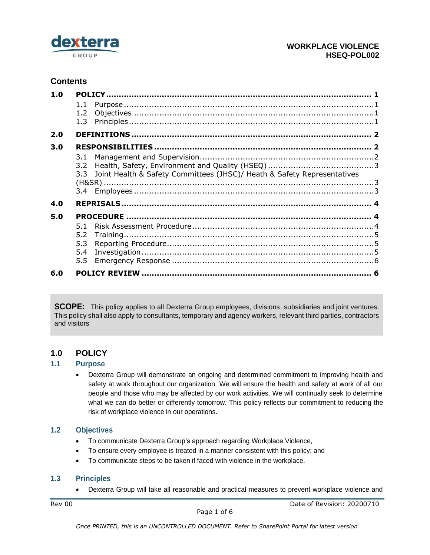

# **Contents**

| 1.0 |                                                                                           |  |
|-----|-------------------------------------------------------------------------------------------|--|
|     | 1.1                                                                                       |  |
|     | 1.3                                                                                       |  |
| 2.0 |                                                                                           |  |
| 3.0 |                                                                                           |  |
|     | 3.1<br>3.2<br>3.3 Joint Health & Safety Committees (JHSC)/ Heath & Safety Representatives |  |
|     |                                                                                           |  |
| 4.0 |                                                                                           |  |
| 5.0 |                                                                                           |  |
|     | 5.1<br>5.2<br>5.3<br>5.4<br>5.5                                                           |  |
| 6.0 |                                                                                           |  |

**SCOPE:** This policy applies to all Dexterra Group employees, divisions, subsidiaries and joint ventures. This policy shall also apply to consultants, temporary and agency workers, relevant third parties, contractors and visitors

## <span id="page-0-0"></span>**1.0 POLICY**

#### <span id="page-0-1"></span>**1.1 Purpose**

• Dexterra Group will demonstrate an ongoing and determined commitment to improving health and safety at work throughout our organization. We will ensure the health and safety at work of all our people and those who may be affected by our work activities. We will continually seek to determine what we can do better or differently tomorrow. This policy reflects our commitment to reducing the risk of workplace violence in our operations.

#### <span id="page-0-2"></span>**1.2 Objectives**

- To communicate Dexterra Group's approach regarding Workplace Violence,
- To ensure every employee is treated in a manner consistent with this policy; and
- To communicate steps to be taken if faced with violence in the workplace.

#### <span id="page-0-3"></span>**1.3 Principles**

• Dexterra Group will take all reasonable and practical measures to prevent workplace violence and

Rev 00 Date of Revision: 20200710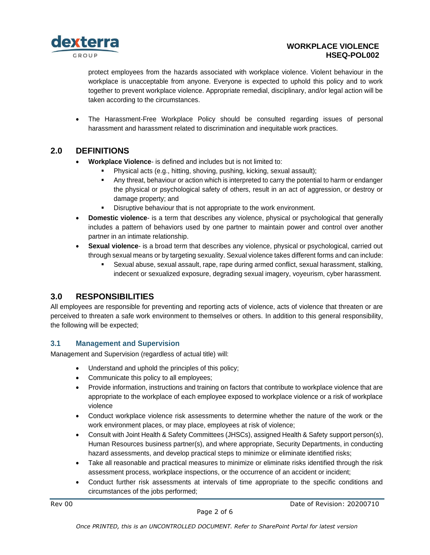

#### **WORKPLACE VIOLENCE HSEQ-POL002**

protect employees from the hazards associated with workplace violence. Violent behaviour in the workplace is unacceptable from anyone. Everyone is expected to uphold this policy and to work together to prevent workplace violence. Appropriate remedial, disciplinary, and/or legal action will be taken according to the circumstances.

• The Harassment-Free Workplace Policy should be consulted regarding issues of personal harassment and harassment related to discrimination and inequitable work practices.

## <span id="page-1-0"></span>**2.0 DEFINITIONS**

- **Workplace Violence** is defined and includes but is not limited to:
	- Physical acts (e.g., hitting, shoving, pushing, kicking, sexual assault);
	- **•** Any threat, behaviour or action which is interpreted to carry the potential to harm or endanger the physical or psychological safety of others, result in an act of aggression, or destroy or damage property; and
	- Disruptive behaviour that is not appropriate to the work environment.
- **Domestic violence** is a term that describes any violence, physical or psychological that generally includes a pattern of behaviors used by one partner to maintain power and control over another partner in an intimate relationship.
- **Sexual violence** is a broad term that describes any violence, physical or psychological, carried out through sexual means or by targeting sexuality. Sexual violence takes different forms and can include:
	- Sexual abuse, sexual assault, rape, rape during armed conflict, sexual harassment, stalking, indecent or sexualized exposure, degrading sexual imagery, voyeurism, cyber harassment.

# <span id="page-1-1"></span>**3.0 RESPONSIBILITIES**

All employees are responsible for preventing and reporting acts of violence, acts of violence that threaten or are perceived to threaten a safe work environment to themselves or others. In addition to this general responsibility, the following will be expected;

## <span id="page-1-2"></span>**3.1 Management and Supervision**

Management and Supervision (regardless of actual title) will:

- Understand and uphold the principles of this policy;
- Communicate this policy to all employees;
- Provide information, instructions and training on factors that contribute to workplace violence that are appropriate to the workplace of each employee exposed to workplace violence or a risk of workplace violence
- Conduct workplace violence risk assessments to determine whether the nature of the work or the work environment places, or may place, employees at risk of violence;
- Consult with Joint Health & Safety Committees (JHSCs), assigned Health & Safety support person(s), Human Resources business partner(s), and where appropriate, Security Departments, in conducting hazard assessments, and develop practical steps to minimize or eliminate identified risks;
- Take all reasonable and practical measures to minimize or eliminate risks identified through the risk assessment process, workplace inspections, or the occurrence of an accident or incident;
- Conduct further risk assessments at intervals of time appropriate to the specific conditions and circumstances of the jobs performed;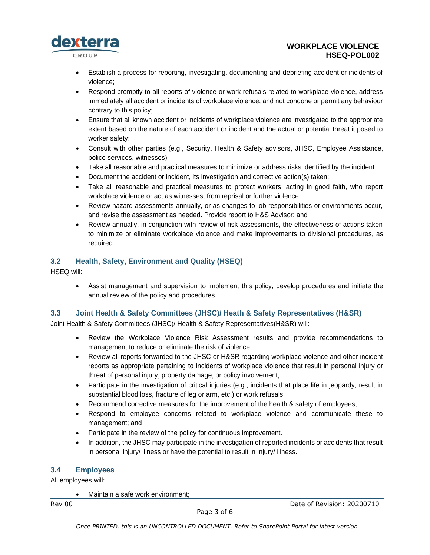

- Establish a process for reporting, investigating, documenting and debriefing accident or incidents of violence;
- Respond promptly to all reports of violence or work refusals related to workplace violence, address immediately all accident or incidents of workplace violence, and not condone or permit any behaviour contrary to this policy;
- Ensure that all known accident or incidents of workplace violence are investigated to the appropriate extent based on the nature of each accident or incident and the actual or potential threat it posed to worker safety:
- Consult with other parties (e.g., Security, Health & Safety advisors, JHSC, Employee Assistance, police services, witnesses)
- Take all reasonable and practical measures to minimize or address risks identified by the incident
- Document the accident or incident, its investigation and corrective action(s) taken;
- Take all reasonable and practical measures to protect workers, acting in good faith, who report workplace violence or act as witnesses, from reprisal or further violence;
- Review hazard assessments annually, or as changes to job responsibilities or environments occur, and revise the assessment as needed. Provide report to H&S Advisor; and
- Review annually, in conjunction with review of risk assessments, the effectiveness of actions taken to minimize or eliminate workplace violence and make improvements to divisional procedures, as required.

### <span id="page-2-0"></span>**3.2 Health, Safety, Environment and Quality (HSEQ)**

HSEQ will:

• Assist management and supervision to implement this policy, develop procedures and initiate the annual review of the policy and procedures.

### <span id="page-2-1"></span>**3.3 Joint Health & Safety Committees (JHSC)/ Heath & Safety Representatives (H&SR)**

Joint Health & Safety Committees (JHSC)/ Health & Safety Representatives(H&SR) will:

- Review the Workplace Violence Risk Assessment results and provide recommendations to management to reduce or eliminate the risk of violence;
- Review all reports forwarded to the JHSC or H&SR regarding workplace violence and other incident reports as appropriate pertaining to incidents of workplace violence that result in personal injury or threat of personal injury, property damage, or policy involvement;
- Participate in the investigation of critical injuries (e.g., incidents that place life in jeopardy, result in substantial blood loss, fracture of leg or arm, etc.) or work refusals;
- Recommend corrective measures for the improvement of the health & safety of employees;
- Respond to employee concerns related to workplace violence and communicate these to management; and
- Participate in the review of the policy for continuous improvement.
- In addition, the JHSC may participate in the investigation of reported incidents or accidents that result in personal injury/ illness or have the potential to result in injury/ illness.

### <span id="page-2-2"></span>**3.4 Employees**

All employees will:

• Maintain a safe work environment;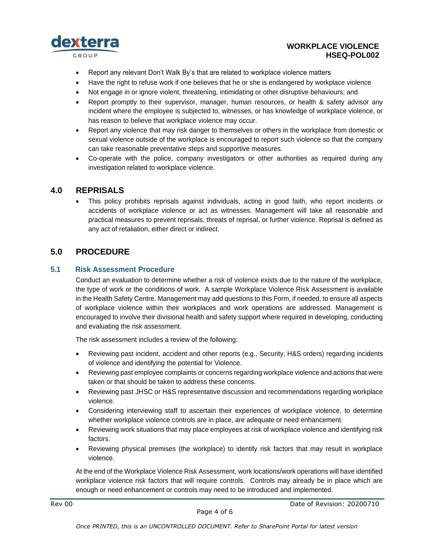

#### **WORKPLACE VIOLENCE HSEQ-POL002**

- Report any relevant Don't Walk By's that are related to workplace violence matters
- Have the right to refuse work if one believes that he or she is endangered by workplace violence
- Not engage in or ignore violent, threatening, intimidating or other disruptive behaviours; and
- Report promptly to their supervisor, manager, human resources, or health & safety advisor any incident where the employee is subjected to, witnesses, or has knowledge of workplace violence, or has reason to believe that workplace violence may occur.
- Report any violence that may risk danger to themselves or others in the workplace from domestic or sexual violence outside of the workplace is encouraged to report such violence so that the company can take reasonable preventative steps and supportive measures.
- Co-operate with the police, company investigators or other authorities as required during any investigation related to workplace violence.

#### <span id="page-3-0"></span>**4.0 REPRISALS**

• This policy prohibits reprisals against individuals, acting in good faith, who report incidents or accidents of workplace violence or act as witnesses. Management will take all reasonable and practical measures to prevent reprisals, threats of reprisal, or further violence. Reprisal is defined as any act of retaliation, either direct or indirect.

## <span id="page-3-1"></span>**5.0 PROCEDURE**

#### <span id="page-3-2"></span>**5.1 Risk Assessment Procedure**

Conduct an evaluation to determine whether a risk of violence exists due to the nature of the workplace, the type of work or the conditions of work. A sample Workplace Violence Risk Assessment is available in the Health Safety Centre. Management may add questions to this Form, if needed, to ensure all aspects of workplace violence within their workplaces and work operations are addressed. Management is encouraged to involve their divisional health and safety support where required in developing, conducting and evaluating the risk assessment.

The risk assessment includes a review of the following:

- Reviewing past incident, accident and other reports (e.g., Security, H&S orders) regarding incidents of violence and identifying the potential for Violence.
- Reviewing past employee complaints or concerns regarding workplace violence and actions that were taken or that should be taken to address these concerns.
- Reviewing past JHSC or H&S representative discussion and recommendations regarding workplace violence.
- Considering interviewing staff to ascertain their experiences of workplace violence, to determine whether workplace violence controls are in place, are adequate or need enhancement.
- Reviewing work situations that may place employees at risk of workplace violence and identifying risk factors.
- Reviewing physical premises (the workplace) to identify risk factors that may result in workplace violence.

At the end of the Workplace Violence Risk Assessment, work locations/work operations will have identified workplace violence risk factors that will require controls. Controls may already be in place which are enough or need enhancement or controls may need to be introduced and implemented.

Rev 00 Date of Revision: 20200710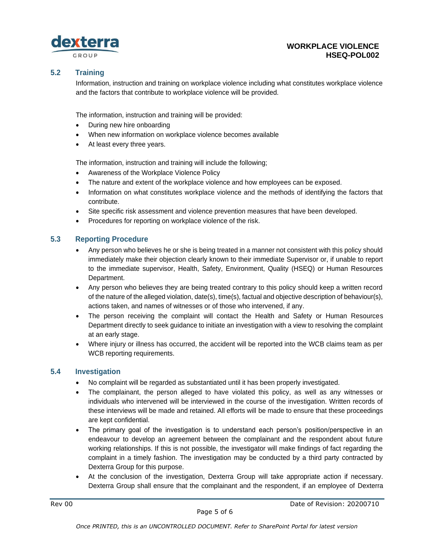

#### <span id="page-4-0"></span>**5.2 Training**

Information, instruction and training on workplace violence including what constitutes workplace violence and the factors that contribute to workplace violence will be provided.

The information, instruction and training will be provided:

- During new hire onboarding
- When new information on workplace violence becomes available
- At least every three years.

The information, instruction and training will include the following;

- Awareness of the Workplace Violence Policy
- The nature and extent of the workplace violence and how employees can be exposed.
- Information on what constitutes workplace violence and the methods of identifying the factors that contribute.
- Site specific risk assessment and violence prevention measures that have been developed.
- Procedures for reporting on workplace violence of the risk.

#### <span id="page-4-1"></span>**5.3 Reporting Procedure**

- Any person who believes he or she is being treated in a manner not consistent with this policy should immediately make their objection clearly known to their immediate Supervisor or, if unable to report to the immediate supervisor, Health, Safety, Environment, Quality (HSEQ) or Human Resources Department.
- Any person who believes they are being treated contrary to this policy should keep a written record of the nature of the alleged violation, date(s), time(s), factual and objective description of behaviour(s), actions taken, and names of witnesses or of those who intervened, if any.
- The person receiving the complaint will contact the Health and Safety or Human Resources Department directly to seek guidance to initiate an investigation with a view to resolving the complaint at an early stage.
- Where injury or illness has occurred, the accident will be reported into the WCB claims team as per WCB reporting requirements.

#### <span id="page-4-2"></span>**5.4 Investigation**

- No complaint will be regarded as substantiated until it has been properly investigated.
- The complainant, the person alleged to have violated this policy, as well as any witnesses or individuals who intervened will be interviewed in the course of the investigation. Written records of these interviews will be made and retained. All efforts will be made to ensure that these proceedings are kept confidential.
- The primary goal of the investigation is to understand each person's position/perspective in an endeavour to develop an agreement between the complainant and the respondent about future working relationships. If this is not possible, the investigator will make findings of fact regarding the complaint in a timely fashion. The investigation may be conducted by a third party contracted by Dexterra Group for this purpose.
- At the conclusion of the investigation, Dexterra Group will take appropriate action if necessary. Dexterra Group shall ensure that the complainant and the respondent, if an employee of Dexterra